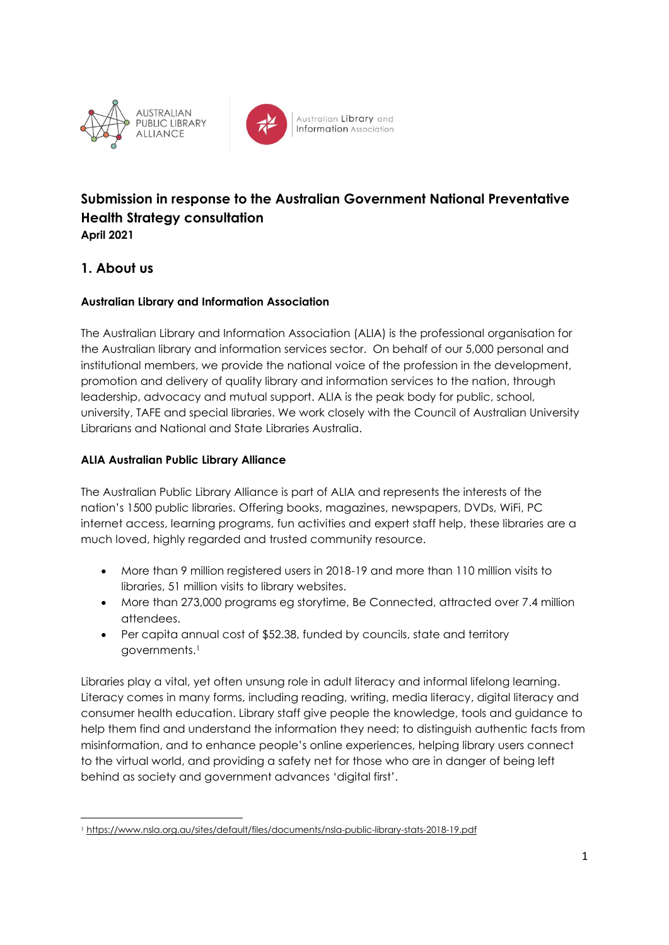



Australian Library and **Information** Association

# **Submission in response to the Australian Government National Preventative Health Strategy consultation April 2021**

### **1. About us**

### **Australian Library and Information Association**

The Australian Library and Information Association (ALIA) is the professional organisation for the Australian library and information services sector. On behalf of our 5,000 personal and institutional members, we provide the national voice of the profession in the development, promotion and delivery of quality library and information services to the nation, through leadership, advocacy and mutual support. ALIA is the peak body for public, school, university, TAFE and special libraries. We work closely with the Council of Australian University Librarians and National and State Libraries Australia.

### **ALIA Australian Public Library Alliance**

The Australian Public Library Alliance is part of ALIA and represents the interests of the nation's 1500 public libraries. Offering books, magazines, newspapers, DVDs, WiFi, PC internet access, learning programs, fun activities and expert staff help, these libraries are a much loved, highly regarded and trusted community resource.

- More than 9 million registered users in 2018-19 and more than 110 million visits to libraries, 51 million visits to library websites.
- More than 273,000 programs eg storytime, Be Connected, attracted over 7.4 million attendees.
- Per capita annual cost of \$52.38, funded by councils, state and territory governments.<sup>1</sup>

Libraries play a vital, yet often unsung role in adult literacy and informal lifelong learning. Literacy comes in many forms, including reading, writing, media literacy, digital literacy and consumer health education. Library staff give people the knowledge, tools and guidance to help them find and understand the information they need; to distinguish authentic facts from misinformation, and to enhance people's online experiences, helping library users connect to the virtual world, and providing a safety net for those who are in danger of being left behind as society and government advances 'digital first'.

<sup>1</sup> <https://www.nsla.org.au/sites/default/files/documents/nsla-public-library-stats-2018-19.pdf>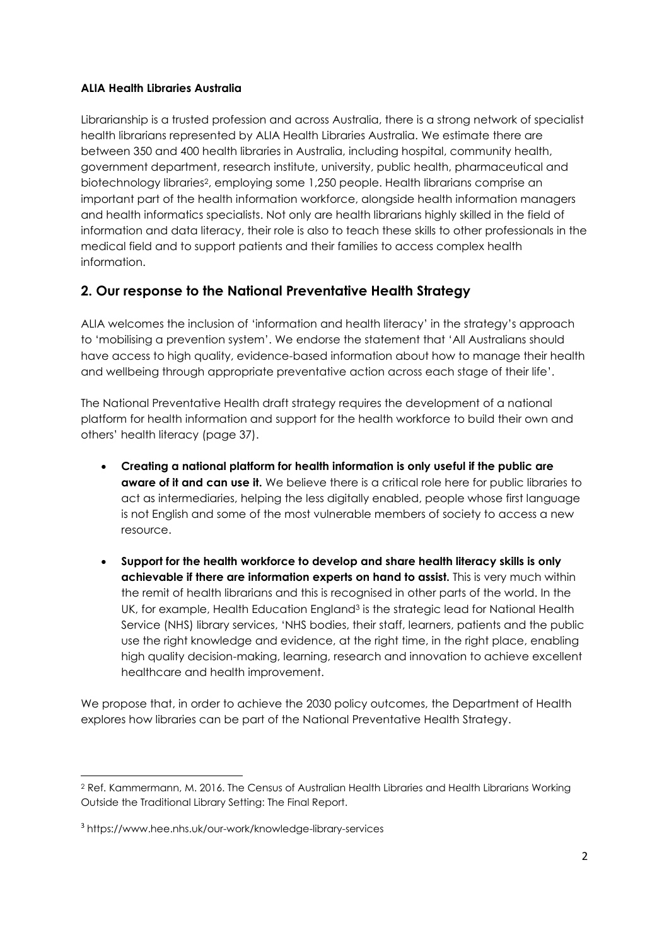#### **ALIA Health Libraries Australia**

Librarianship is a trusted profession and across Australia, there is a strong network of specialist health librarians represented by ALIA Health Libraries Australia. We estimate there are between 350 and 400 health libraries in Australia, including hospital, community health, government department, research institute, university, public health, pharmaceutical and biotechnology libraries2, employing some 1,250 people. Health librarians comprise an important part of the health information workforce, alongside health information managers and health informatics specialists. Not only are health librarians highly skilled in the field of information and data literacy, their role is also to teach these skills to other professionals in the medical field and to support patients and their families to access complex health information.

### **2. Our response to the National Preventative Health Strategy**

ALIA welcomes the inclusion of 'information and health literacy' in the strategy's approach to 'mobilising a prevention system'. We endorse the statement that 'All Australians should have access to high quality, evidence-based information about how to manage their health and wellbeing through appropriate preventative action across each stage of their life'.

The National Preventative Health draft strategy requires the development of a national platform for health information and support for the health workforce to build their own and others' health literacy (page 37).

- **Creating a national platform for health information is only useful if the public are aware of it and can use it.** We believe there is a critical role here for public libraries to act as intermediaries, helping the less digitally enabled, people whose first language is not English and some of the most vulnerable members of society to access a new resource.
- **Support for the health workforce to develop and share health literacy skills is only achievable if there are information experts on hand to assist.** This is very much within the remit of health librarians and this is recognised in other parts of the world. In the UK, for example, Health Education England<sup>3</sup> is the strategic lead for National Health Service (NHS) library services, 'NHS bodies, their staff, learners, patients and the public use the right knowledge and evidence, at the right time, in the right place, enabling high quality decision-making, learning, research and innovation to achieve excellent healthcare and health improvement.

We propose that, in order to achieve the 2030 policy outcomes, the Department of Health explores how libraries can be part of the National Preventative Health Strategy.

<sup>&</sup>lt;sup>2</sup> Ref. Kammermann, M. 2016. The Census of Australian Health Libraries and Health Librarians Working Outside the Traditional Library Setting: The Final Report.

<sup>3</sup> https://www.hee.nhs.uk/our-work/knowledge-library-services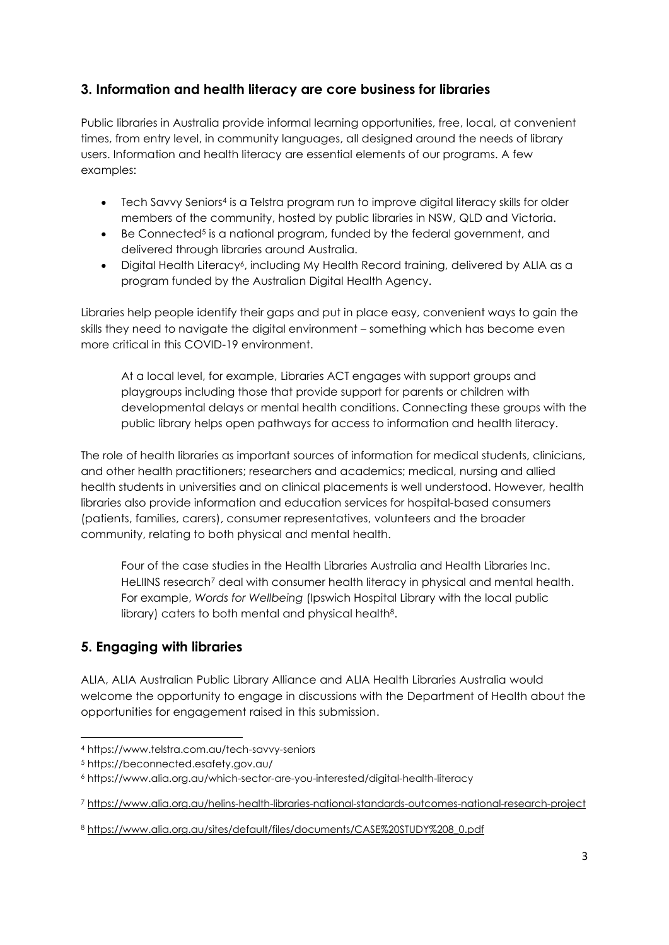# **3. Information and health literacy are core business for libraries**

Public libraries in Australia provide informal learning opportunities, free, local, at convenient times, from entry level, in community languages, all designed around the needs of library users. Information and health literacy are essential elements of our programs. A few examples:

- Tech Savvy Seniors<sup>4</sup> is a Telstra program run to improve digital literacy skills for older members of the community, hosted by public libraries in NSW, QLD and Victoria.
- Be Connected<sup>5</sup> is a national program, funded by the federal government, and delivered through libraries around Australia.
- Digital Health Literacy<sup>6</sup>, including My Health Record training, delivered by ALIA as a program funded by the Australian Digital Health Agency.

Libraries help people identify their gaps and put in place easy, convenient ways to gain the skills they need to navigate the digital environment – something which has become even more critical in this COVID-19 environment.

At a local level, for example, Libraries ACT engages with support groups and playgroups including those that provide support for parents or children with developmental delays or mental health conditions. Connecting these groups with the public library helps open pathways for access to information and health literacy.

The role of health libraries as important sources of information for medical students, clinicians, and other health practitioners; researchers and academics; medical, nursing and allied health students in universities and on clinical placements is well understood. However, health libraries also provide information and education services for hospital-based consumers (patients, families, carers), consumer representatives, volunteers and the broader community, relating to both physical and mental health.

Four of the case studies in the Health Libraries Australia and Health Libraries Inc. HeLIINS research<sup>7</sup> deal with consumer health literacy in physical and mental health. For example, *Words for Wellbeing* (Ipswich Hospital Library with the local public library) caters to both mental and physical health<sup>8</sup>.

### **5. Engaging with libraries**

ALIA, ALIA Australian Public Library Alliance and ALIA Health Libraries Australia would welcome the opportunity to engage in discussions with the Department of Health about the opportunities for engagement raised in this submission.

<sup>4</sup> https://www.telstra.com.au/tech-savvy-seniors

<sup>5</sup> https://beconnected.esafety.gov.au/

<sup>6</sup> https://www.alia.org.au/which-sector-are-you-interested/digital-health-literacy

<sup>7</sup> <https://www.alia.org.au/helins-health-libraries-national-standards-outcomes-national-research-project>

<sup>8</sup> [https://www.alia.org.au/sites/default/files/documents/CASE%20STUDY%208\\_0.pdf](https://www.alia.org.au/sites/default/files/documents/CASE%20STUDY%208_0.pdf)